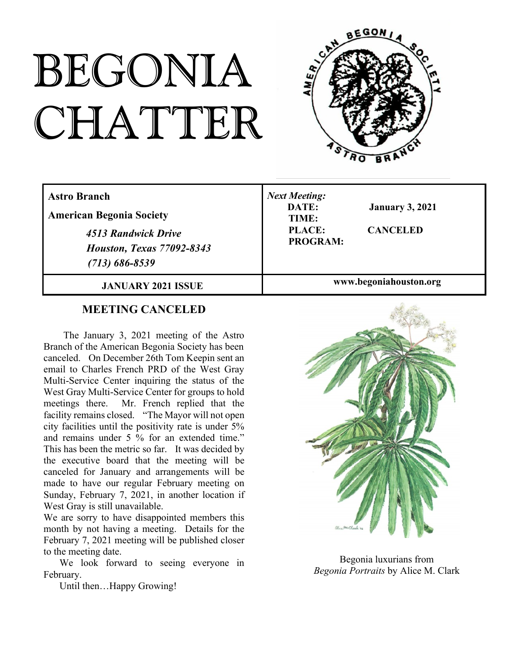# BEGONIA CHATTER



| <b>Astro Branch</b><br><b>American Begonia Society</b><br>4513 Randwick Drive<br><b>Houston, Texas 77092-8343</b><br>$(713) 686 - 8539$ | <b>Next Meeting:</b><br>DATE:<br><b>January 3, 2021</b><br>TIME:<br>PLACE:<br><b>CANCELED</b><br><b>PROGRAM:</b> |
|-----------------------------------------------------------------------------------------------------------------------------------------|------------------------------------------------------------------------------------------------------------------|
| <b>JANUARY 2021 ISSUE</b>                                                                                                               | www.begoniahouston.org                                                                                           |

#### **MEETING CANCELED**

The January 3, 2021 meeting of the Astro Branch of the American Begonia Society has been canceled. On December 26th Tom Keepin sent an email to Charles French PRD of the West Gray Multi-Service Center inquiring the status of the West Gray Multi-Service Center for groups to hold meetings there. Mr. French replied that the facility remains closed. "The Mayor will not open city facilities until the positivity rate is under 5% and remains under 5 % for an extended time." This has been the metric so far. It was decided by the executive board that the meeting will be canceled for January and arrangements will be made to have our regular February meeting on Sunday, February 7, 2021, in another location if West Gray is still unavailable.

We are sorry to have disappointed members this month by not having a meeting. Details for the February 7, 2021 meeting will be published closer to the meeting date.

We look forward to seeing everyone in February.

Until then…Happy Growing!



Begonia luxurians from *Begonia Portraits* by Alice M. Clark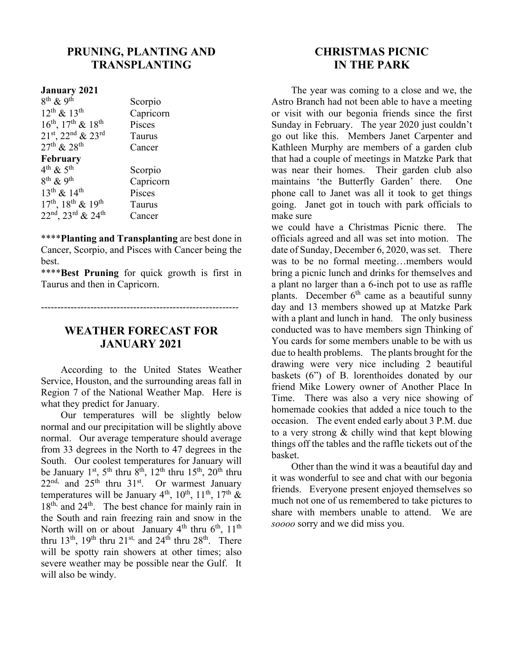## **PRUNING, PLANTING AND TRANSPLANTING**

Scorpio

#### **January 2021**

 $8^{th}$  & 9<sup>th</sup>  $12^{\text{th}} \& 13^{\text{th}}$  Capricorn  $16^{th}$ ,  $17^{th}$  &  $18^{th}$  Pisces  $21<sup>st</sup>$ ,  $22<sup>nd</sup>$  &  $23<sup>rd</sup>$  Taurus  $27<sup>th</sup>$  &  $28<sup>th</sup>$  Cancer

#### **February**

 $4^{\text{th}}$  &  $5^{\text{th}}$  $8^{th}$  & 9<sup>th</sup>  $13<sup>th</sup> \& 14<sup>th</sup>$  Pisces  $17<sup>th</sup>$ ,  $18<sup>th</sup>$  &  $19<sup>th</sup>$  Taurus  $22<sup>nd</sup>$ ,  $23<sup>rd</sup>$  &  $24<sup>th</sup>$  Cancer

Scorpio Capricorn

\*\*\*\***Planting and Transplanting** are best done in Cancer, Scorpio, and Pisces with Cancer being the best.

\*\*\*\***Best Pruning** for quick growth is first in Taurus and then in Capricorn.

------------------------------------------------------------

## **WEATHER FORECAST FOR JANUARY 2021**

According to the United States Weather Service, Houston, and the surrounding areas fall in Region 7 of the National Weather Map. Here is what they predict for January.

Our temperatures will be slightly below normal and our precipitation will be slightly above normal. Our average temperature should average from 33 degrees in the North to 47 degrees in the South. Our coolest temperatures for January will be January 1<sup>st</sup>, 5<sup>th</sup> thru 8<sup>th</sup>, 12<sup>th</sup> thru 15<sup>th</sup>, 20<sup>th</sup> thru  $22<sup>nd</sup>$ , and  $25<sup>th</sup>$  thru  $31<sup>st</sup>$ . Or warmest January temperatures will be January 4<sup>th</sup>, 10<sup>th</sup>, 11<sup>th</sup>, 17<sup>th</sup> &  $18<sup>th</sup>$ , and  $24<sup>th</sup>$ . The best chance for mainly rain in the South and rain freezing rain and snow in the North will on or about January  $4<sup>th</sup>$  thru  $6<sup>th</sup>$ ,  $11<sup>th</sup>$ thru 13<sup>th</sup>, 19<sup>th</sup> thru 21<sup>st,</sup> and 24<sup>th</sup> thru 28<sup>th</sup>. There will be spotty rain showers at other times; also severe weather may be possible near the Gulf. It will also be windy.

## **CHRISTMAS PICNIC IN THE PARK**

The year was coming to a close and we, the Astro Branch had not been able to have a meeting or visit with our begonia friends since the first Sunday in February. The year 2020 just couldn't go out like this. Members Janet Carpenter and Kathleen Murphy are members of a garden club that had a couple of meetings in Matzke Park that was near their homes. Their garden club also maintains 'the Butterfly Garden' there. One phone call to Janet was all it took to get things going. Janet got in touch with park officials to make sure

we could have a Christmas Picnic there. The officials agreed and all was set into motion. The date of Sunday, December 6, 2020, was set. There was to be no formal meeting…members would bring a picnic lunch and drinks for themselves and a plant no larger than a 6-inch pot to use as raffle plants. December  $6<sup>th</sup>$  came as a beautiful sunny day and 13 members showed up at Matzke Park with a plant and lunch in hand. The only business conducted was to have members sign Thinking of You cards for some members unable to be with us due to health problems. The plants brought for the drawing were very nice including 2 beautiful baskets (6") of B. lorenthoides donated by our friend Mike Lowery owner of Another Place In Time. There was also a very nice showing of homemade cookies that added a nice touch to the occasion. The event ended early about 3 P.M. due to a very strong & chilly wind that kept blowing things off the tables and the raffle tickets out of the basket.

Other than the wind it was a beautiful day and it was wonderful to see and chat with our begonia friends. Everyone present enjoyed themselves so much not one of us remembered to take pictures to share with members unable to attend. We are *soooo* sorry and we did miss you.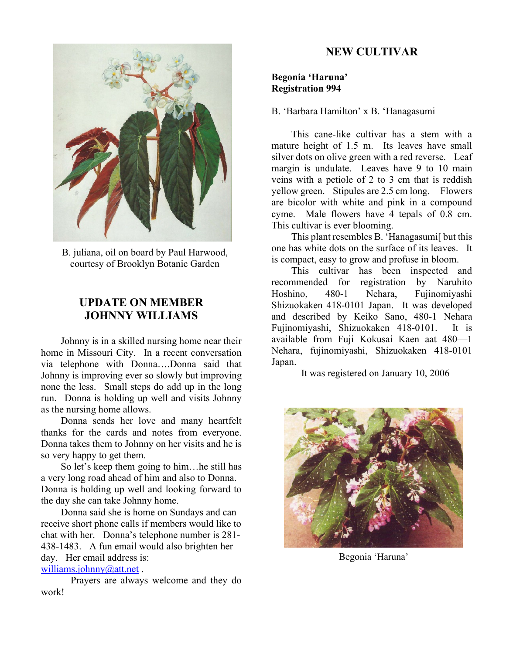

B. juliana, oil on board by Paul Harwood, courtesy of Brooklyn Botanic Garden

### **UPDATE ON MEMBER JOHNNY WILLIAMS**

Johnny is in a skilled nursing home near their home in Missouri City. In a recent conversation via telephone with Donna….Donna said that Johnny is improving ever so slowly but improving none the less. Small steps do add up in the long run. Donna is holding up well and visits Johnny as the nursing home allows.

Donna sends her love and many heartfelt thanks for the cards and notes from everyone. Donna takes them to Johnny on her visits and he is so very happy to get them.

So let's keep them going to him…he still has a very long road ahead of him and also to Donna. Donna is holding up well and looking forward to the day she can take Johnny home.

Donna said she is home on Sundays and can receive short phone calls if members would like to chat with her. Donna's telephone number is 281- 438-1483. A fun email would also brighten her day. Her email address is: williams.johnny@att.net.

Prayers are always welcome and they do work!

## **NEW CULTIVAR**

#### **Begonia 'Haruna' Registration 994**

B. 'Barbara Hamilton' x B. 'Hanagasumi

This cane-like cultivar has a stem with a mature height of 1.5 m. Its leaves have small silver dots on olive green with a red reverse. Leaf margin is undulate. Leaves have 9 to 10 main veins with a petiole of 2 to 3 cm that is reddish yellow green. Stipules are 2.5 cm long. Flowers are bicolor with white and pink in a compound cyme. Male flowers have 4 tepals of 0.8 cm. This cultivar is ever blooming.

This plant resembles B. 'Hanagasumi[ but this one has white dots on the surface of its leaves. It is compact, easy to grow and profuse in bloom.

This cultivar has been inspected and recommended for registration by Naruhito Hoshino, 480-1 Nehara, Fujinomiyashi Shizuokaken 418-0101 Japan. It was developed and described by Keiko Sano, 480-1 Nehara Fujinomiyashi, Shizuokaken 418-0101. It is available from Fuji Kokusai Kaen aat 480—1 Nehara, fujinomiyashi, Shizuokaken 418-0101 Japan.

It was registered on January 10, 2006



Begonia 'Haruna'